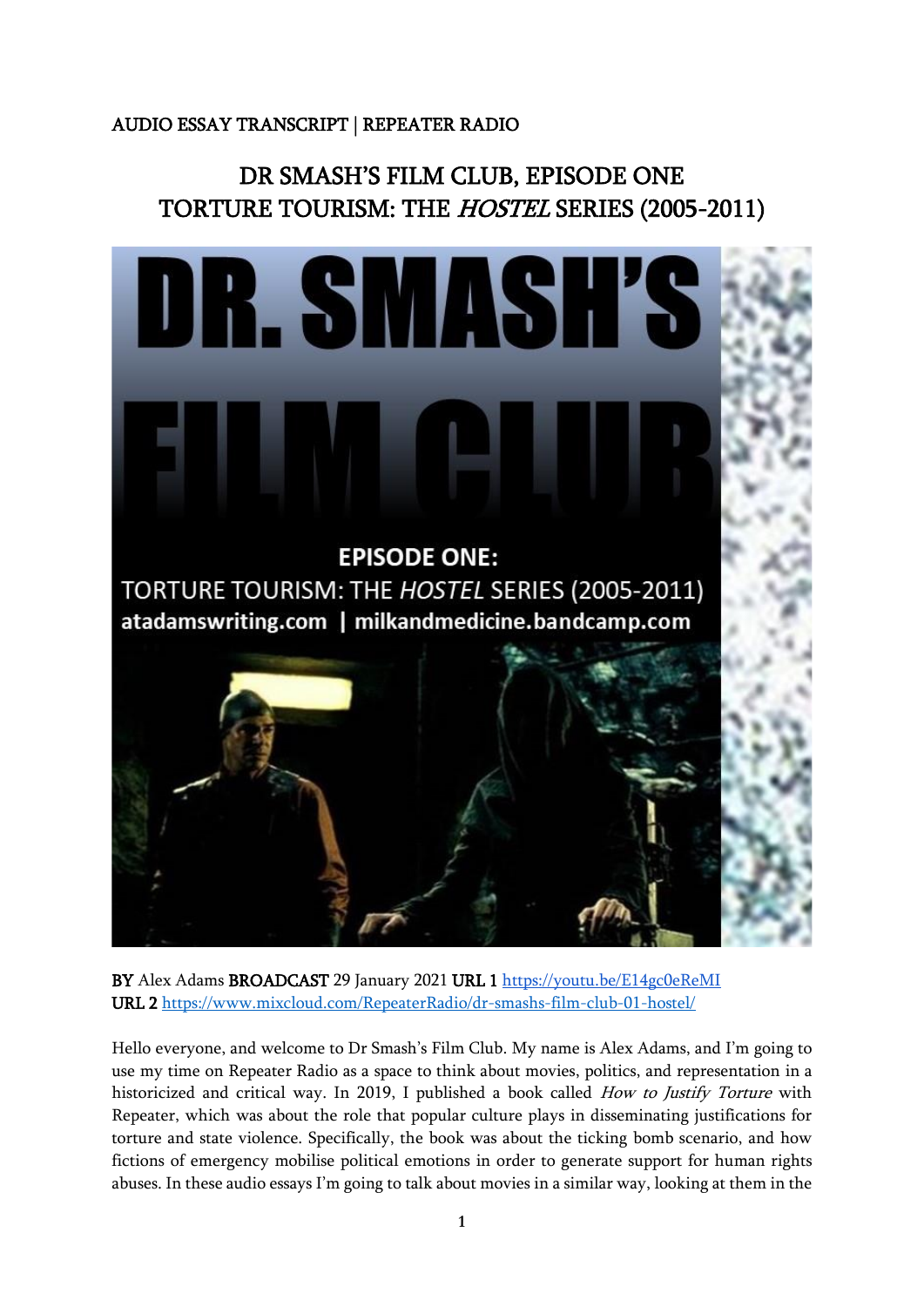## AUDIO ESSAY TRANSCRIPT | REPEATER RADIO

## DR SMASH'S FILM CLUB, EPISODE ONE TORTURE TOURISM: THE HOSTEL SERIES (2005-2011)



BY Alex Adams BROADCAST 29 January 2021 URL 1 <https://youtu.be/E14gc0eReMI> URL 2<https://www.mixcloud.com/RepeaterRadio/dr-smashs-film-club-01-hostel/>

Hello everyone, and welcome to Dr Smash's Film Club. My name is Alex Adams, and I'm going to use my time on Repeater Radio as a space to think about movies, politics, and representation in a historicized and critical way. In 2019, I published a book called *How to Justify Torture* with Repeater, which was about the role that popular culture plays in disseminating justifications for torture and state violence. Specifically, the book was about the ticking bomb scenario, and how fictions of emergency mobilise political emotions in order to generate support for human rights abuses. In these audio essays I'm going to talk about movies in a similar way, looking at them in the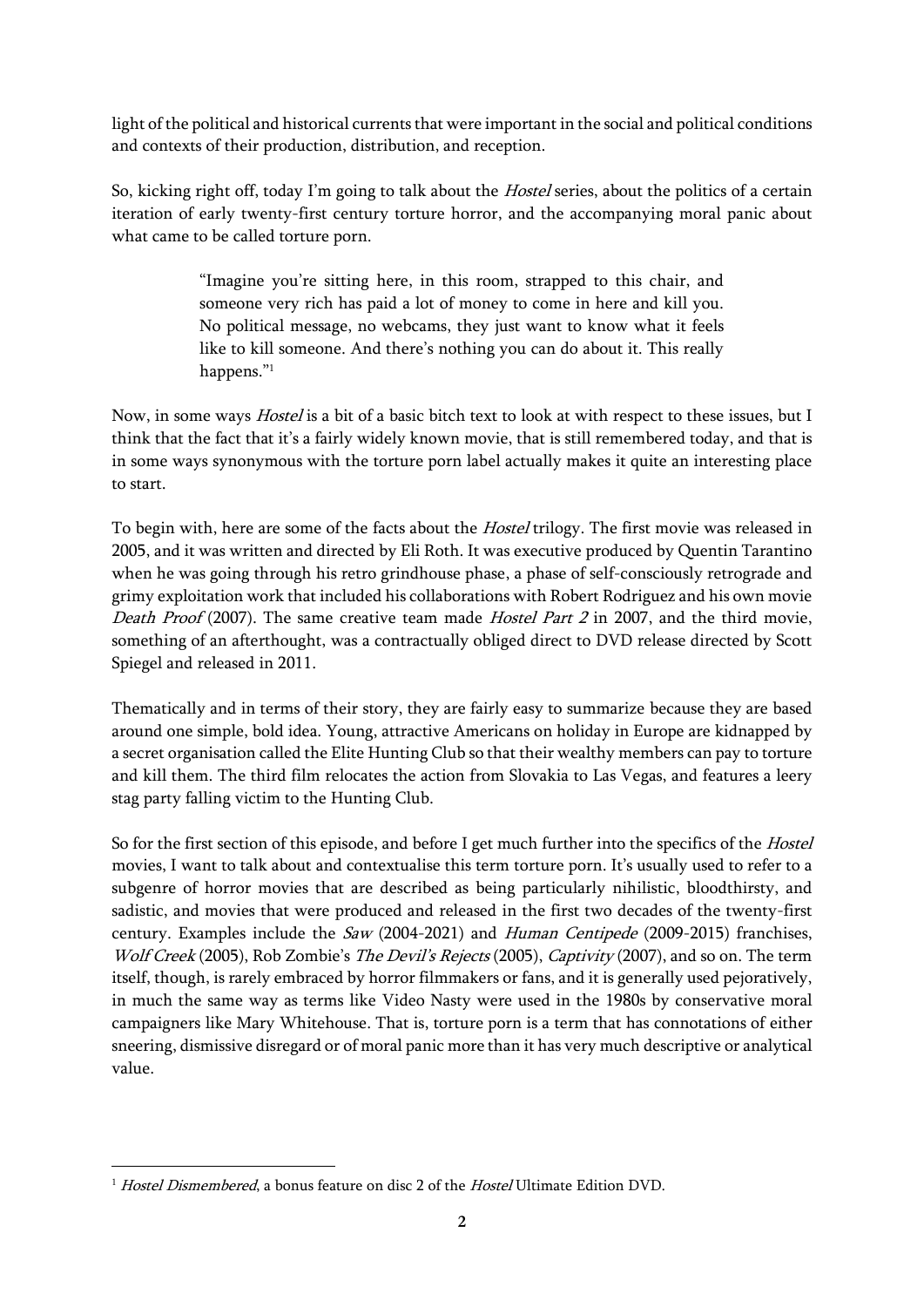light of the political and historical currents that were important in the social and political conditions and contexts of their production, distribution, and reception.

So, kicking right off, today I'm going to talk about the *Hostel* series, about the politics of a certain iteration of early twenty-first century torture horror, and the accompanying moral panic about what came to be called torture porn.

> "Imagine you're sitting here, in this room, strapped to this chair, and someone very rich has paid a lot of money to come in here and kill you. No political message, no webcams, they just want to know what it feels like to kill someone. And there's nothing you can do about it. This really happens."<sup>1</sup>

Now, in some ways *Hostel* is a bit of a basic bitch text to look at with respect to these issues, but I think that the fact that it's a fairly widely known movie, that is still remembered today, and that is in some ways synonymous with the torture porn label actually makes it quite an interesting place to start.

To begin with, here are some of the facts about the *Hostel* trilogy. The first movie was released in 2005, and it was written and directed by Eli Roth. It was executive produced by Quentin Tarantino when he was going through his retro grindhouse phase, a phase of self-consciously retrograde and grimy exploitation work that included his collaborations with Robert Rodriguez and his own movie Death Proof (2007). The same creative team made Hostel Part 2 in 2007, and the third movie, something of an afterthought, was a contractually obliged direct to DVD release directed by Scott Spiegel and released in 2011.

Thematically and in terms of their story, they are fairly easy to summarize because they are based around one simple, bold idea. Young, attractive Americans on holiday in Europe are kidnapped by a secret organisation called the Elite Hunting Club so that their wealthy members can pay to torture and kill them. The third film relocates the action from Slovakia to Las Vegas, and features a leery stag party falling victim to the Hunting Club.

So for the first section of this episode, and before I get much further into the specifics of the Hostel movies, I want to talk about and contextualise this term torture porn. It's usually used to refer to a subgenre of horror movies that are described as being particularly nihilistic, bloodthirsty, and sadistic, and movies that were produced and released in the first two decades of the twenty-first century. Examples include the Saw (2004-2021) and Human Centipede (2009-2015) franchises, Wolf Creek (2005), Rob Zombie's The Devil's Rejects (2005), Captivity (2007), and so on. The term itself, though, is rarely embraced by horror filmmakers or fans, and it is generally used pejoratively, in much the same way as terms like Video Nasty were used in the 1980s by conservative moral campaigners like Mary Whitehouse. That is, torture porn is a term that has connotations of either sneering, dismissive disregard or of moral panic more than it has very much descriptive or analytical value.

 $1$  Hostel Dismembered, a bonus feature on disc 2 of the Hostel Ultimate Edition DVD.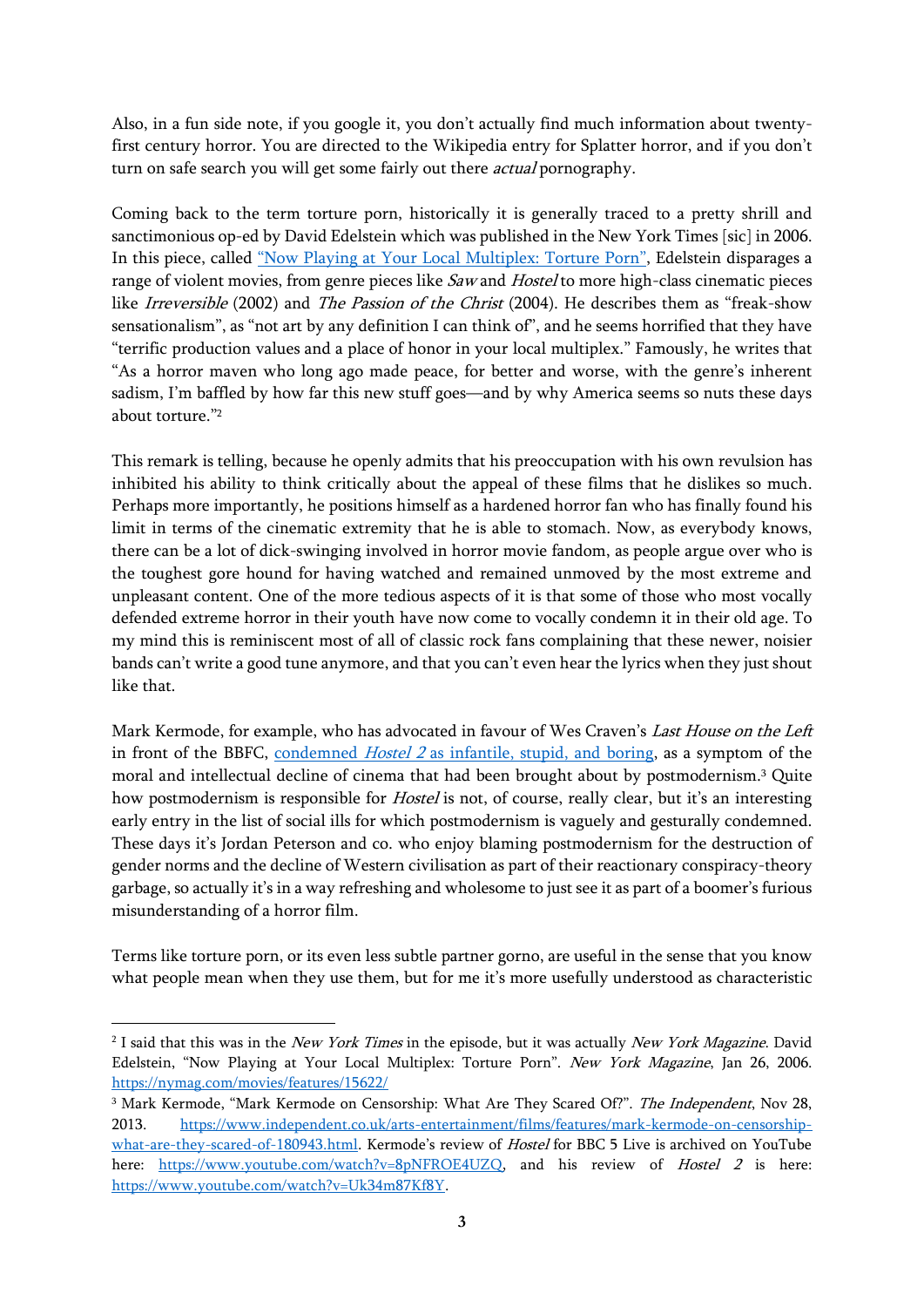Also, in a fun side note, if you google it, you don't actually find much information about twentyfirst century horror. You are directed to the Wikipedia entry for Splatter horror, and if you don't turn on safe search you will get some fairly out there *actual* pornography.

Coming back to the term torture porn, historically it is generally traced to a pretty shrill and sanctimonious op-ed by David Edelstein which was published in the New York Times [sic] in 2006. In this piece, called ["Now Playing at Your Local Multiplex: Torture Porn"](https://nymag.com/movies/features/15622/), Edelstein disparages a range of violent movies, from genre pieces like Saw and Hostel to more high-class cinematic pieces like Irreversible (2002) and The Passion of the Christ (2004). He describes them as "freak-show sensationalism", as "not art by any definition I can think of", and he seems horrified that they have "terrific production values and a place of honor in your local multiplex." Famously, he writes that "As a horror maven who long ago made peace, for better and worse, with the genre's inherent sadism, I'm baffled by how far this new stuff goes—and by why America seems so nuts these days about torture." 2

This remark is telling, because he openly admits that his preoccupation with his own revulsion has inhibited his ability to think critically about the appeal of these films that he dislikes so much. Perhaps more importantly, he positions himself as a hardened horror fan who has finally found his limit in terms of the cinematic extremity that he is able to stomach. Now, as everybody knows, there can be a lot of dick-swinging involved in horror movie fandom, as people argue over who is the toughest gore hound for having watched and remained unmoved by the most extreme and unpleasant content. One of the more tedious aspects of it is that some of those who most vocally defended extreme horror in their youth have now come to vocally condemn it in their old age. To my mind this is reminiscent most of all of classic rock fans complaining that these newer, noisier bands can't write a good tune anymore, and that you can't even hear the lyrics when they just shout like that.

Mark Kermode, for example, who has advocated in favour of Wes Craven's Last House on the Left in front of the BBFC, condemned Hostel 2 [as infantile, stupid, and boring,](https://www.youtube.com/watch?v=Uk34m87Kf8Y) as a symptom of the moral and intellectual decline of cinema that had been brought about by postmodernism.<sup>3</sup> Quite how postmodernism is responsible for *Hostel* is not, of course, really clear, but it's an interesting early entry in the list of social ills for which postmodernism is vaguely and gesturally condemned. These days it's Jordan Peterson and co. who enjoy blaming postmodernism for the destruction of gender norms and the decline of Western civilisation as part of their reactionary conspiracy-theory garbage, so actually it's in a way refreshing and wholesome to just see it as part of a boomer's furious misunderstanding of a horror film.

Terms like torture porn, or its even less subtle partner gorno, are useful in the sense that you know what people mean when they use them, but for me it's more usefully understood as characteristic

<sup>&</sup>lt;sup>2</sup> I said that this was in the *New York Times* in the episode, but it was actually *New York Magazine*. David Edelstein, "Now Playing at Your Local Multiplex: Torture Porn". New York Magazine, Jan 26, 2006. <https://nymag.com/movies/features/15622/>

<sup>&</sup>lt;sup>3</sup> Mark Kermode, "Mark Kermode on Censorship: What Are They Scared Of?". The Independent, Nov 28, 2013. [https://www.independent.co.uk/arts-entertainment/films/features/mark-kermode-on-censorship](https://www.independent.co.uk/arts-entertainment/films/features/mark-kermode-on-censorship-what-are-they-scared-of-180943.html)[what-are-they-scared-of-180943.html.](https://www.independent.co.uk/arts-entertainment/films/features/mark-kermode-on-censorship-what-are-they-scared-of-180943.html) Kermode's review of Hostel for BBC 5 Live is archived on YouTube here: [https://www.youtube.com/watch?v=8pNFROE4UZQ,](https://www.youtube.com/watch?v=8pNFROE4UZQ) and his review of *Hostel 2* is here: [https://www.youtube.com/watch?v=Uk34m87Kf8Y.](https://www.youtube.com/watch?v=Uk34m87Kf8Y)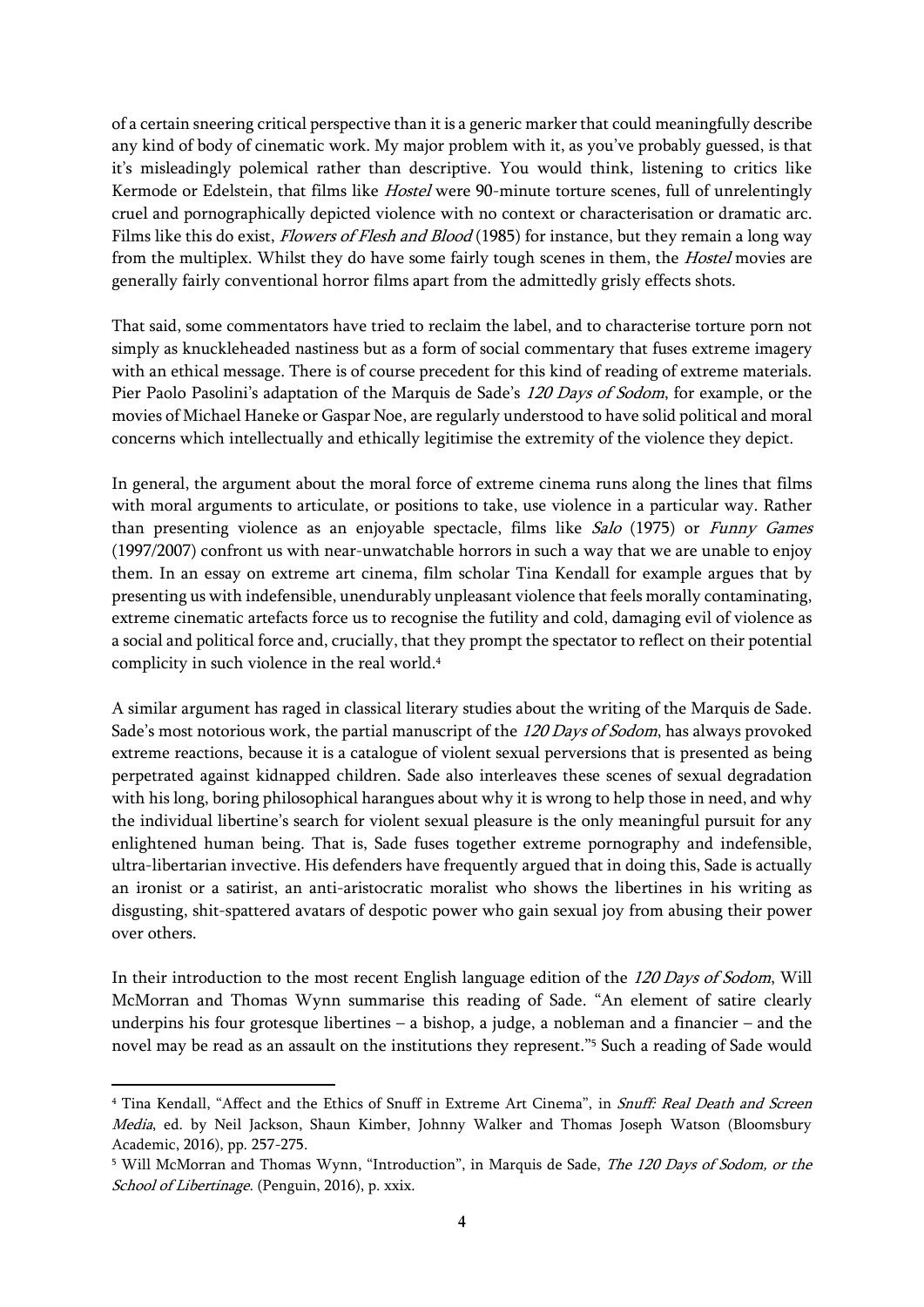of a certain sneering critical perspective than it is a generic marker that could meaningfully describe any kind of body of cinematic work. My major problem with it, as you've probably guessed, is that it's misleadingly polemical rather than descriptive. You would think, listening to critics like Kermode or Edelstein, that films like Hostel were 90-minute torture scenes, full of unrelentingly cruel and pornographically depicted violence with no context or characterisation or dramatic arc. Films like this do exist, *Flowers of Flesh and Blood* (1985) for instance, but they remain a long way from the multiplex. Whilst they do have some fairly tough scenes in them, the Hostel movies are generally fairly conventional horror films apart from the admittedly grisly effects shots.

That said, some commentators have tried to reclaim the label, and to characterise torture porn not simply as knuckleheaded nastiness but as a form of social commentary that fuses extreme imagery with an ethical message. There is of course precedent for this kind of reading of extreme materials. Pier Paolo Pasolini's adaptation of the Marquis de Sade's 120 Days of Sodom, for example, or the movies of Michael Haneke or Gaspar Noe, are regularly understood to have solid political and moral concerns which intellectually and ethically legitimise the extremity of the violence they depict.

In general, the argument about the moral force of extreme cinema runs along the lines that films with moral arguments to articulate, or positions to take, use violence in a particular way. Rather than presenting violence as an enjoyable spectacle, films like Salo (1975) or Funny Games (1997/2007) confront us with near-unwatchable horrors in such a way that we are unable to enjoy them. In an essay on extreme art cinema, film scholar Tina Kendall for example argues that by presenting us with indefensible, unendurably unpleasant violence that feels morally contaminating, extreme cinematic artefacts force us to recognise the futility and cold, damaging evil of violence as a social and political force and, crucially, that they prompt the spectator to reflect on their potential complicity in such violence in the real world. 4

A similar argument has raged in classical literary studies about the writing of the Marquis de Sade. Sade's most notorious work, the partial manuscript of the 120 Days of Sodom, has always provoked extreme reactions, because it is a catalogue of violent sexual perversions that is presented as being perpetrated against kidnapped children. Sade also interleaves these scenes of sexual degradation with his long, boring philosophical harangues about why it is wrong to help those in need, and why the individual libertine's search for violent sexual pleasure is the only meaningful pursuit for any enlightened human being. That is, Sade fuses together extreme pornography and indefensible, ultra-libertarian invective. His defenders have frequently argued that in doing this, Sade is actually an ironist or a satirist, an anti-aristocratic moralist who shows the libertines in his writing as disgusting, shit-spattered avatars of despotic power who gain sexual joy from abusing their power over others.

In their introduction to the most recent English language edition of the 120 Days of Sodom, Will McMorran and Thomas Wynn summarise this reading of Sade. "An element of satire clearly underpins his four grotesque libertines – a bishop, a judge, a nobleman and a financier – and the novel may be read as an assault on the institutions they represent."<sup>5</sup> Such a reading of Sade would

<sup>&</sup>lt;sup>4</sup> Tina Kendall, "Affect and the Ethics of Snuff in Extreme Art Cinema", in Snuff: Real Death and Screen Media, ed. by Neil Jackson, Shaun Kimber, Johnny Walker and Thomas Joseph Watson (Bloomsbury Academic, 2016), pp. 257-275.

<sup>&</sup>lt;sup>5</sup> Will McMorran and Thomas Wynn, "Introduction", in Marquis de Sade, *The 120 Days of Sodom, or the* School of Libertinage. (Penguin, 2016), p. xxix.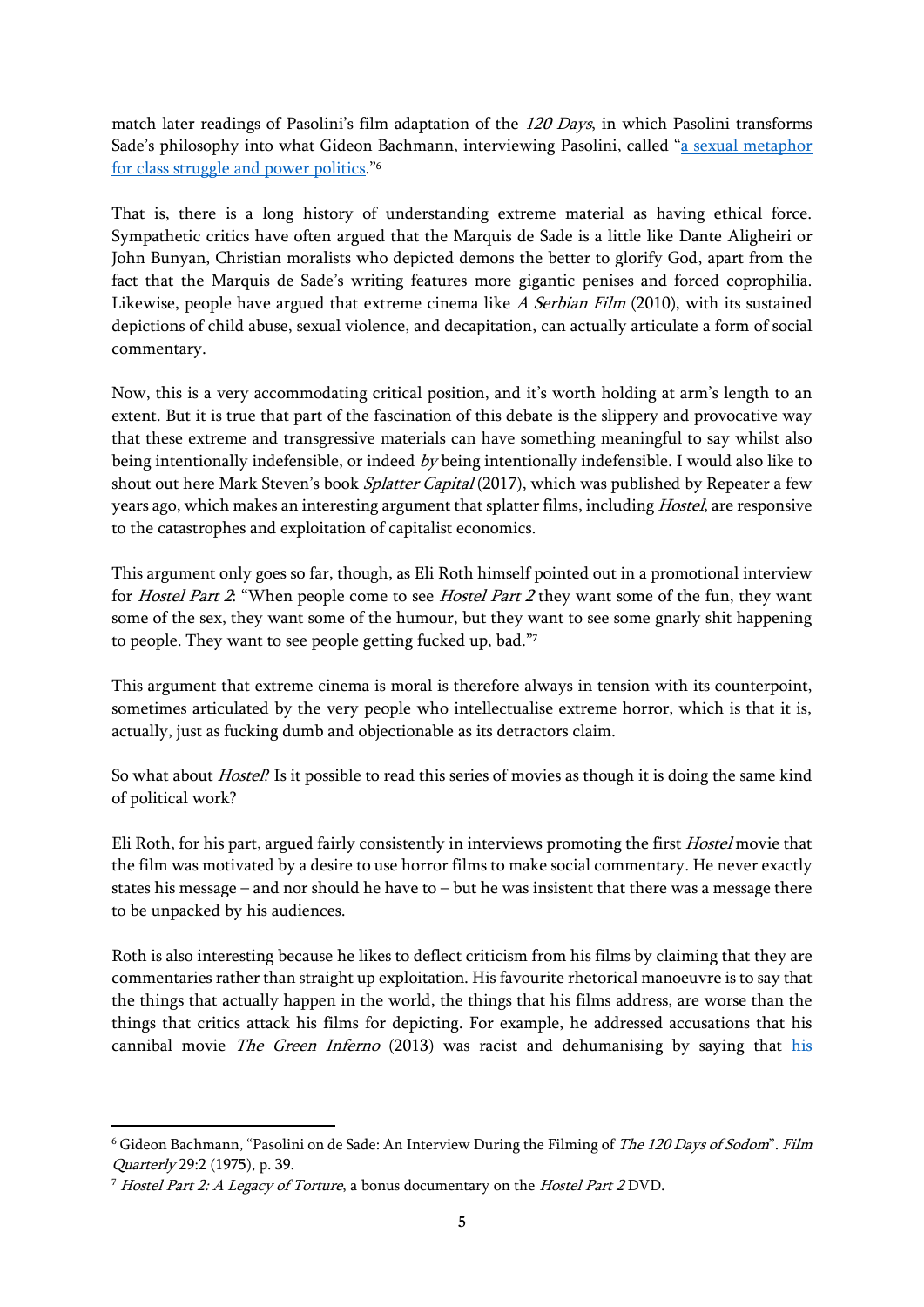match later readings of Pasolini's film adaptation of the 120 Days, in which Pasolini transforms Sade's philosophy into what Gideon Bachmann, interviewing Pasolini, called "[a sexual metaphor](https://online.ucpress.edu/fq/article-abstract/29/2/39/39023/Pasolini-on-de-Sade-An-Interview-during-the?redirectedFrom=fulltext)  [for class struggle and power politics](https://online.ucpress.edu/fq/article-abstract/29/2/39/39023/Pasolini-on-de-Sade-An-Interview-during-the?redirectedFrom=fulltext)."<sup>6</sup>

That is, there is a long history of understanding extreme material as having ethical force. Sympathetic critics have often argued that the Marquis de Sade is a little like Dante Aligheiri or John Bunyan, Christian moralists who depicted demons the better to glorify God, apart from the fact that the Marquis de Sade's writing features more gigantic penises and forced coprophilia. Likewise, people have argued that extreme cinema like  $A$  Serbian Film (2010), with its sustained depictions of child abuse, sexual violence, and decapitation, can actually articulate a form of social commentary.

Now, this is a very accommodating critical position, and it's worth holding at arm's length to an extent. But it is true that part of the fascination of this debate is the slippery and provocative way that these extreme and transgressive materials can have something meaningful to say whilst also being intentionally indefensible, or indeed by being intentionally indefensible. I would also like to shout out here Mark Steven's book Splatter Capital (2017), which was published by Repeater a few years ago, which makes an interesting argument that splatter films, including Hostel, are responsive to the catastrophes and exploitation of capitalist economics.

This argument only goes so far, though, as Eli Roth himself pointed out in a promotional interview for *Hostel Part 2*: "When people come to see *Hostel Part 2* they want some of the fun, they want some of the sex, they want some of the humour, but they want to see some gnarly shit happening to people. They want to see people getting fucked up, bad."<sup>7</sup>

This argument that extreme cinema is moral is therefore always in tension with its counterpoint, sometimes articulated by the very people who intellectualise extreme horror, which is that it is, actually, just as fucking dumb and objectionable as its detractors claim.

So what about *Hostel*? Is it possible to read this series of movies as though it is doing the same kind of political work?

Eli Roth, for his part, argued fairly consistently in interviews promoting the first Hostel movie that the film was motivated by a desire to use horror films to make social commentary. He never exactly states his message – and nor should he have to – but he was insistent that there was a message there to be unpacked by his audiences.

Roth is also interesting because he likes to deflect criticism from his films by claiming that they are commentaries rather than straight up exploitation. His favourite rhetorical manoeuvre is to say that the things that actually happen in the world, the things that his films address, are worse than the things that critics attack his films for depicting. For example, he addressed accusations that his cannibal movie The Green Inferno (2013) was racist and dehumanising by saying that his

<sup>&</sup>lt;sup>6</sup> Gideon Bachmann, "Pasolini on de Sade: An Interview During the Filming of The 120 Days of Sodom". Film Quarterly 29:2 (1975), p. 39.

<sup>&</sup>lt;sup>7</sup> Hostel Part 2: A Legacy of Torture, a bonus documentary on the Hostel Part 2 DVD.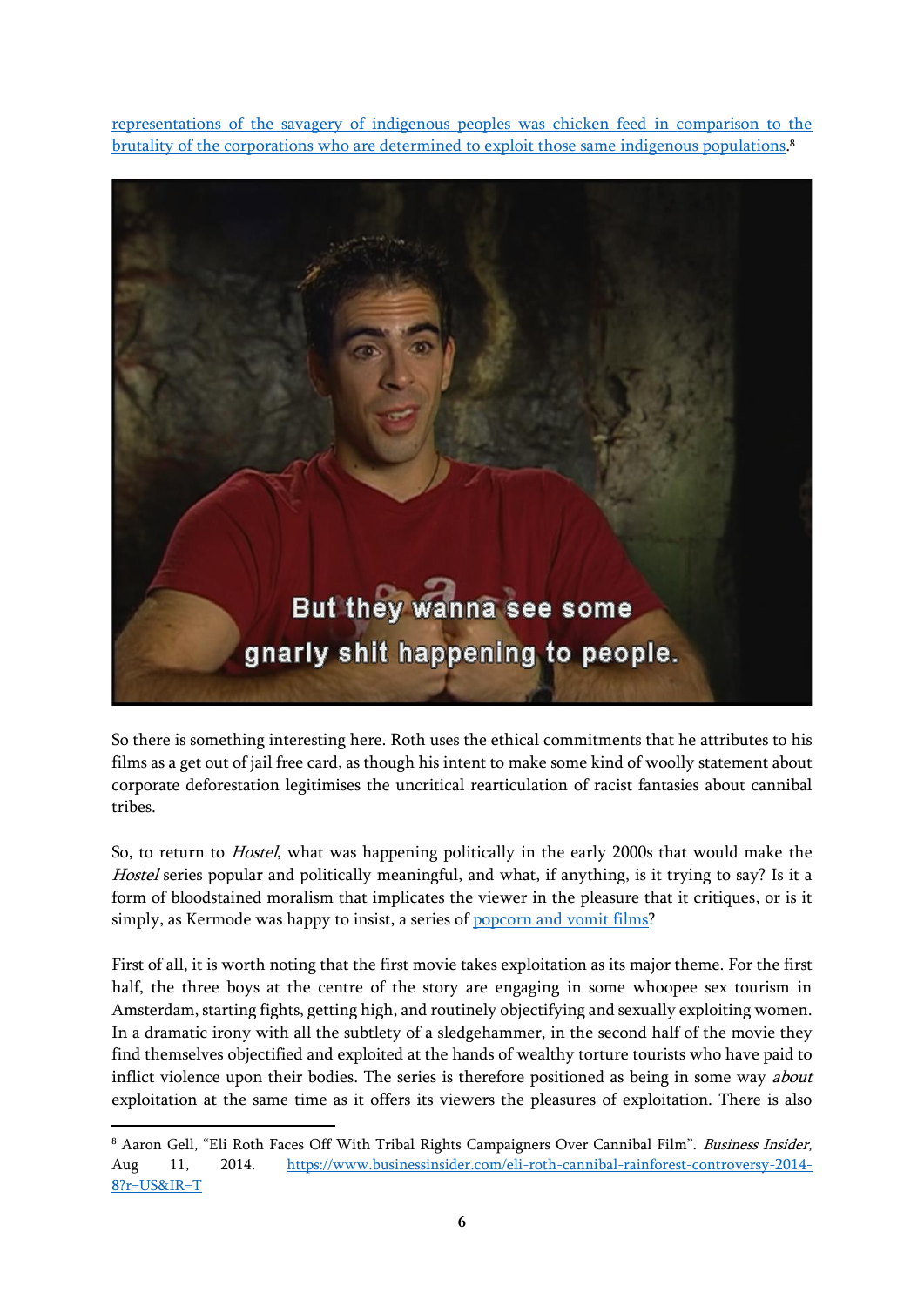[representations of the savagery of indigenous peoples was chicken feed in comparison to the](https://www.businessinsider.com/eli-roth-cannibal-rainforest-controversy-2014-8?r=US&IR=T)  [brutality of the corporations who are determined to exploit those same indigenous populations.](https://www.businessinsider.com/eli-roth-cannibal-rainforest-controversy-2014-8?r=US&IR=T) 8



So there is something interesting here. Roth uses the ethical commitments that he attributes to his films as a get out of jail free card, as though his intent to make some kind of woolly statement about corporate deforestation legitimises the uncritical rearticulation of racist fantasies about cannibal tribes.

So, to return to Hostel, what was happening politically in the early 2000s that would make the Hostel series popular and politically meaningful, and what, if anything, is it trying to say? Is it a form of bloodstained moralism that implicates the viewer in the pleasure that it critiques, or is it simply, as Kermode was happy to insist, a series of [popcorn and vomit films?](https://www.youtube.com/watch?v=8pNFROE4UZQ)

First of all, it is worth noting that the first movie takes exploitation as its major theme. For the first half, the three boys at the centre of the story are engaging in some whoopee sex tourism in Amsterdam, starting fights, getting high, and routinely objectifying and sexually exploiting women. In a dramatic irony with all the subtlety of a sledgehammer, in the second half of the movie they find themselves objectified and exploited at the hands of wealthy torture tourists who have paid to inflict violence upon their bodies. The series is therefore positioned as being in some way *about* exploitation at the same time as it offers its viewers the pleasures of exploitation. There is also

<sup>&</sup>lt;sup>8</sup> Aaron Gell, "Eli Roth Faces Off With Tribal Rights Campaigners Over Cannibal Film". Business Insider, Aug 11, 2014. [https://www.businessinsider.com/eli-roth-cannibal-rainforest-controversy-2014-](https://www.businessinsider.com/eli-roth-cannibal-rainforest-controversy-2014-8?r=US&IR=T) [8?r=US&IR=T](https://www.businessinsider.com/eli-roth-cannibal-rainforest-controversy-2014-8?r=US&IR=T)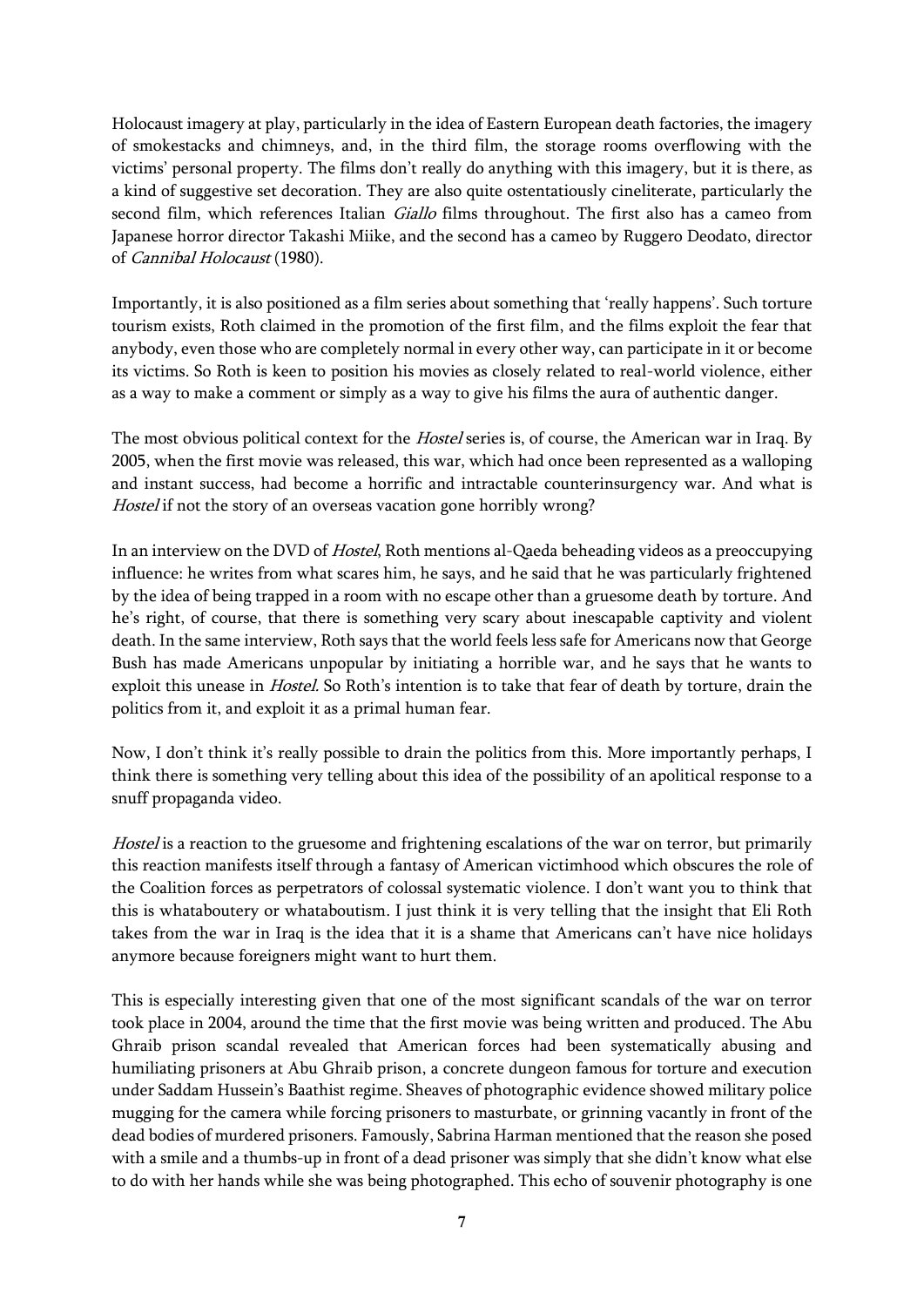Holocaust imagery at play, particularly in the idea of Eastern European death factories, the imagery of smokestacks and chimneys, and, in the third film, the storage rooms overflowing with the victims' personal property. The films don't really do anything with this imagery, but it is there, as a kind of suggestive set decoration. They are also quite ostentatiously cineliterate, particularly the second film, which references Italian *Giallo* films throughout. The first also has a cameo from Japanese horror director Takashi Miike, and the second has a cameo by Ruggero Deodato, director of Cannibal Holocaust (1980).

Importantly, it is also positioned as a film series about something that 'really happens'. Such torture tourism exists, Roth claimed in the promotion of the first film, and the films exploit the fear that anybody, even those who are completely normal in every other way, can participate in it or become its victims. So Roth is keen to position his movies as closely related to real-world violence, either as a way to make a comment or simply as a way to give his films the aura of authentic danger.

The most obvious political context for the *Hostel* series is, of course, the American war in Iraq. By 2005, when the first movie was released, this war, which had once been represented as a walloping and instant success, had become a horrific and intractable counterinsurgency war. And what is Hostel if not the story of an overseas vacation gone horribly wrong?

In an interview on the DVD of Hostel, Roth mentions al-Qaeda beheading videos as a preoccupying influence: he writes from what scares him, he says, and he said that he was particularly frightened by the idea of being trapped in a room with no escape other than a gruesome death by torture. And he's right, of course, that there is something very scary about inescapable captivity and violent death. In the same interview, Roth says that the world feels less safe for Americans now that George Bush has made Americans unpopular by initiating a horrible war, and he says that he wants to exploit this unease in *Hostel.* So Roth's intention is to take that fear of death by torture, drain the politics from it, and exploit it as a primal human fear.

Now, I don't think it's really possible to drain the politics from this. More importantly perhaps, I think there is something very telling about this idea of the possibility of an apolitical response to a snuff propaganda video.

Hostel is a reaction to the gruesome and frightening escalations of the war on terror, but primarily this reaction manifests itself through a fantasy of American victimhood which obscures the role of the Coalition forces as perpetrators of colossal systematic violence. I don't want you to think that this is whataboutery or whataboutism. I just think it is very telling that the insight that Eli Roth takes from the war in Iraq is the idea that it is a shame that Americans can't have nice holidays anymore because foreigners might want to hurt them.

This is especially interesting given that one of the most significant scandals of the war on terror took place in 2004, around the time that the first movie was being written and produced. The Abu Ghraib prison scandal revealed that American forces had been systematically abusing and humiliating prisoners at Abu Ghraib prison, a concrete dungeon famous for torture and execution under Saddam Hussein's Baathist regime. Sheaves of photographic evidence showed military police mugging for the camera while forcing prisoners to masturbate, or grinning vacantly in front of the dead bodies of murdered prisoners. Famously, Sabrina Harman mentioned that the reason she posed with a smile and a thumbs-up in front of a dead prisoner was simply that she didn't know what else to do with her hands while she was being photographed. This echo of souvenir photography is one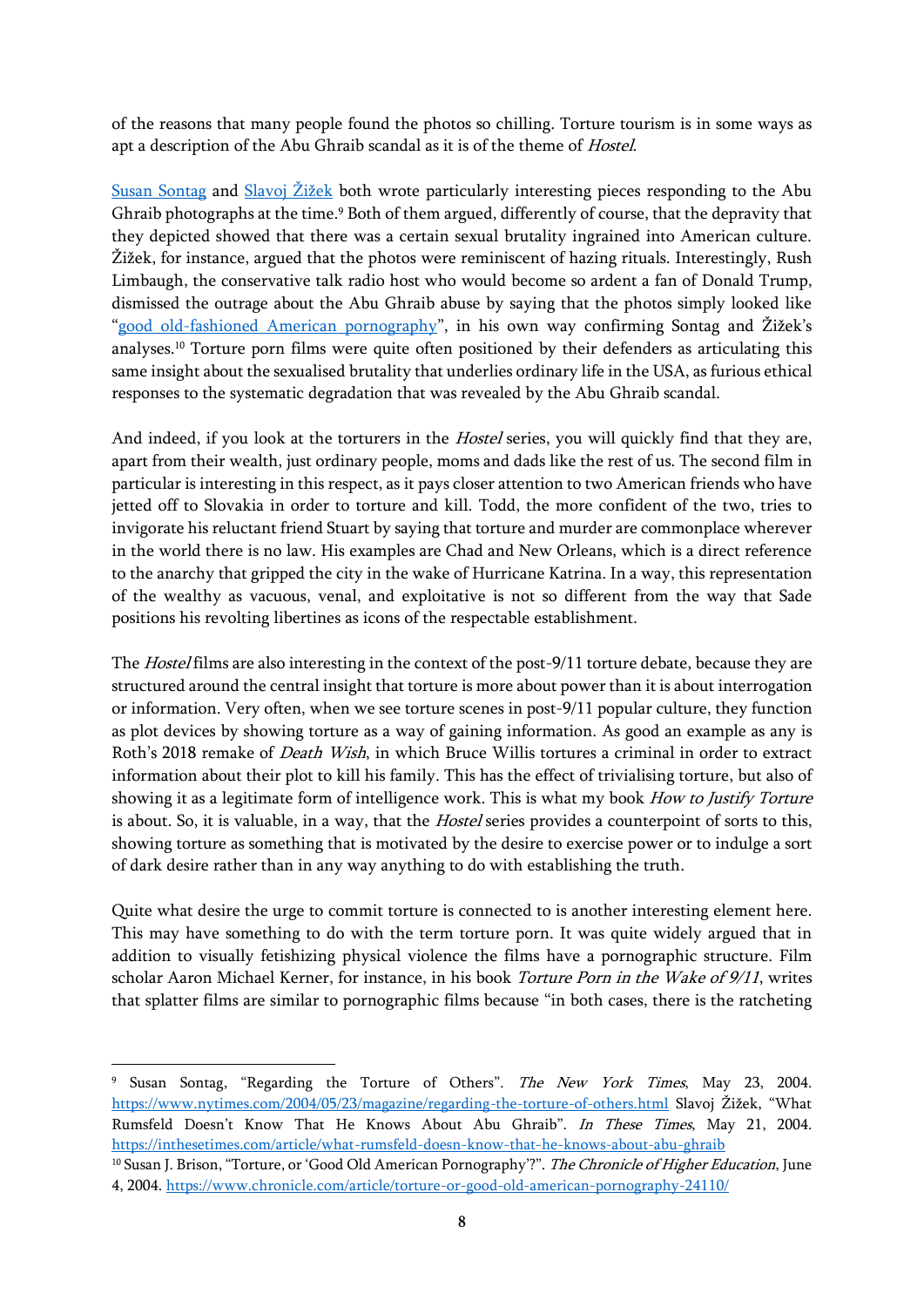of the reasons that many people found the photos so chilling. Torture tourism is in some ways as apt a description of the Abu Ghraib scandal as it is of the theme of Hostel.

[Susan Sontag](https://www.nytimes.com/2004/05/23/magazine/regarding-the-torture-of-others.html) and [Slavoj Žižek](https://inthesetimes.com/article/what-rumsfeld-doesn-know-that-he-knows-about-abu-ghraib) both wrote particularly interesting pieces responding to the Abu Ghraib photographs at the time.<sup>9</sup> Both of them argued, differently of course, that the depravity that they depicted showed that there was a certain sexual brutality ingrained into American culture. Žižek, for instance, argued that the photos were reminiscent of hazing rituals. Interestingly, Rush Limbaugh, the conservative talk radio host who would become so ardent a fan of Donald Trump, dismissed the outrage about the Abu Ghraib abuse by saying that the photos simply looked like "[good old-fashioned American pornography](https://www.chronicle.com/article/torture-or-good-old-american-pornography-24110/)", in his own way confirming Sontag and Žižek's analyses. <sup>10</sup> Torture porn films were quite often positioned by their defenders as articulating this same insight about the sexualised brutality that underlies ordinary life in the USA, as furious ethical responses to the systematic degradation that was revealed by the Abu Ghraib scandal.

And indeed, if you look at the torturers in the *Hostel* series, you will quickly find that they are, apart from their wealth, just ordinary people, moms and dads like the rest of us. The second film in particular is interesting in this respect, as it pays closer attention to two American friends who have jetted off to Slovakia in order to torture and kill. Todd, the more confident of the two, tries to invigorate his reluctant friend Stuart by saying that torture and murder are commonplace wherever in the world there is no law. His examples are Chad and New Orleans, which is a direct reference to the anarchy that gripped the city in the wake of Hurricane Katrina. In a way, this representation of the wealthy as vacuous, venal, and exploitative is not so different from the way that Sade positions his revolting libertines as icons of the respectable establishment.

The *Hostel* films are also interesting in the context of the post-9/11 torture debate, because they are structured around the central insight that torture is more about power than it is about interrogation or information. Very often, when we see torture scenes in post-9/11 popular culture, they function as plot devices by showing torture as a way of gaining information. As good an example as any is Roth's 2018 remake of Death Wish, in which Bruce Willis tortures a criminal in order to extract information about their plot to kill his family. This has the effect of trivialising torture, but also of showing it as a legitimate form of intelligence work. This is what my book How to Justify Torture is about. So, it is valuable, in a way, that the Hostel series provides a counterpoint of sorts to this, showing torture as something that is motivated by the desire to exercise power or to indulge a sort of dark desire rather than in any way anything to do with establishing the truth.

Quite what desire the urge to commit torture is connected to is another interesting element here. This may have something to do with the term torture porn. It was quite widely argued that in addition to visually fetishizing physical violence the films have a pornographic structure. Film scholar Aaron Michael Kerner, for instance, in his book *Torture Porn in the Wake of 9/11*, writes that splatter films are similar to pornographic films because "in both cases, there is the ratcheting

<sup>10</sup> Susan J. Brison, "Torture, or 'Good Old American Pornography'?". The Chronicle of Higher Education, June 4, 2004.<https://www.chronicle.com/article/torture-or-good-old-american-pornography-24110/>

<sup>&</sup>lt;sup>9</sup> Susan Sontag, "Regarding the Torture of Others". The New York Times, May 23, 2004. <https://www.nytimes.com/2004/05/23/magazine/regarding-the-torture-of-others.html> Slavoj Žižek, "What Rumsfeld Doesn't Know That He Knows About Abu Ghraib". In These Times, May 21, 2004. <https://inthesetimes.com/article/what-rumsfeld-doesn-know-that-he-knows-about-abu-ghraib>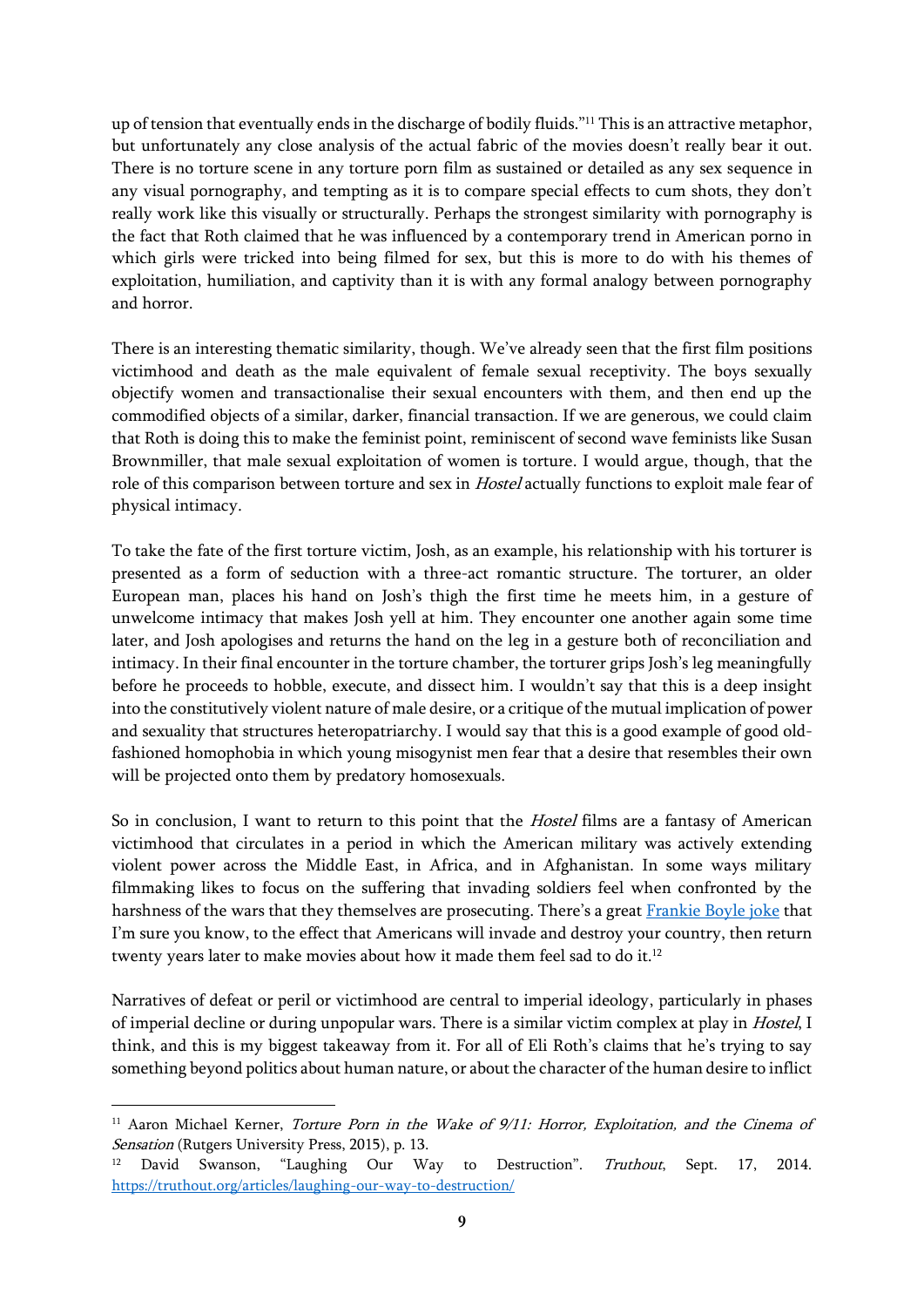up of tension that eventually ends in the discharge of bodily fluids."<sup>11</sup> This is an attractive metaphor, but unfortunately any close analysis of the actual fabric of the movies doesn't really bear it out. There is no torture scene in any torture porn film as sustained or detailed as any sex sequence in any visual pornography, and tempting as it is to compare special effects to cum shots, they don't really work like this visually or structurally. Perhaps the strongest similarity with pornography is the fact that Roth claimed that he was influenced by a contemporary trend in American porno in which girls were tricked into being filmed for sex, but this is more to do with his themes of exploitation, humiliation, and captivity than it is with any formal analogy between pornography and horror.

There is an interesting thematic similarity, though. We've already seen that the first film positions victimhood and death as the male equivalent of female sexual receptivity. The boys sexually objectify women and transactionalise their sexual encounters with them, and then end up the commodified objects of a similar, darker, financial transaction. If we are generous, we could claim that Roth is doing this to make the feminist point, reminiscent of second wave feminists like Susan Brownmiller, that male sexual exploitation of women is torture. I would argue, though, that the role of this comparison between torture and sex in *Hostel* actually functions to exploit male fear of physical intimacy.

To take the fate of the first torture victim, Josh, as an example, his relationship with his torturer is presented as a form of seduction with a three-act romantic structure. The torturer, an older European man, places his hand on Josh's thigh the first time he meets him, in a gesture of unwelcome intimacy that makes Josh yell at him. They encounter one another again some time later, and Josh apologises and returns the hand on the leg in a gesture both of reconciliation and intimacy. In their final encounter in the torture chamber, the torturer grips Josh's leg meaningfully before he proceeds to hobble, execute, and dissect him. I wouldn't say that this is a deep insight into the constitutively violent nature of male desire, or a critique of the mutual implication of power and sexuality that structures heteropatriarchy. I would say that this is a good example of good oldfashioned homophobia in which young misogynist men fear that a desire that resembles their own will be projected onto them by predatory homosexuals.

So in conclusion, I want to return to this point that the *Hostel* films are a fantasy of American victimhood that circulates in a period in which the American military was actively extending violent power across the Middle East, in Africa, and in Afghanistan. In some ways military filmmaking likes to focus on the suffering that invading soldiers feel when confronted by the harshness of the wars that they themselves are prosecuting. There's a great [Frankie Boyle joke](https://truthout.org/articles/laughing-our-way-to-destruction/) that I'm sure you know, to the effect that Americans will invade and destroy your country, then return twenty years later to make movies about how it made them feel sad to do it.<sup>12</sup>

Narratives of defeat or peril or victimhood are central to imperial ideology, particularly in phases of imperial decline or during unpopular wars. There is a similar victim complex at play in *Hostel*, I think, and this is my biggest takeaway from it. For all of Eli Roth's claims that he's trying to say something beyond politics about human nature, or about the character of the human desire to inflict

<sup>&</sup>lt;sup>11</sup> Aaron Michael Kerner, *Torture Porn in the Wake of 9/11: Horror, Exploitation, and the Cinema of* Sensation (Rutgers University Press, 2015), p. 13.

<sup>&</sup>lt;sup>12</sup> David Swanson, "Laughing Our Way to Destruction". Truthout, Sept. 17, 2014. <https://truthout.org/articles/laughing-our-way-to-destruction/>